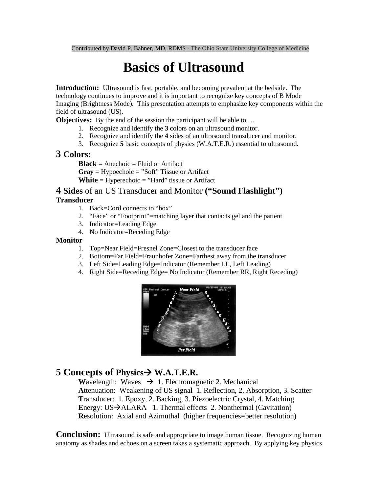# **Basics of Ultrasound**

**Introduction:** Ultrasound is fast, portable, and becoming prevalent at the bedside. The technology continues to improve and it is important to recognize key concepts of B Mode Imaging (Brightness Mode). This presentation attempts to emphasize key components within the field of ultrasound (US).

**Objectives:** By the end of the session the participant will be able to ...

- 1. Recognize and identify the **3** colors on an ultrasound monitor.
- 2. Recognize and identify the **4** sides of an ultrasound transducer and monitor.
- 3. Recognize **5** basic concepts of physics (W.A.T.E.R.) essential to ultrasound.

### **3 Colors:**

**Black** = Anechoic = Fluid or Artifact **Gray** = Hypoechoic = "Soft" Tissue or Artifact **White** = Hyperechoic = "Hard" tissue or Artifact

## **4 Sides** of an US Transducer and Monitor **("Sound Flashlight")**

#### **Transducer**

- 1. Back=Cord connects to "box"
- 2. "Face" or "Footprint"=matching layer that contacts gel and the patient
- 3. Indicator=Leading Edge
- 4. No Indicator=Receding Edge

#### **Monitor**

- 1. Top=Near Field=Fresnel Zone=Closest to the transducer face
- 2. Bottom=Far Field=Fraunhofer Zone=Farthest away from the transducer
- 3. Left Side=Leading Edge=Indicator (Remember LL, Left Leading)
- 4. Right Side=Receding Edge= No Indicator (Remember RR, Right Receding)



# **5 Concepts of Physics W.A.T.E.R.**

**Wavelength:** Waves  $\rightarrow$  1. Electromagnetic 2. Mechanical **A**ttenuation: Weakening of US signal 1. Reflection, 2. Absorption, 3. Scatter **T**ransducer: 1. Epoxy, 2. Backing, 3. Piezoelectric Crystal, 4. Matching **Energy: US** $\rightarrow$ **ALARA** 1. Thermal effects 2. Nonthermal (Cavitation) **Resolution:** Axial and Azimuthal (higher frequencies=better resolution)

**Conclusion:** Ultrasound is safe and appropriate to image human tissue. Recognizing human anatomy as shades and echoes on a screen takes a systematic approach. By applying key physics